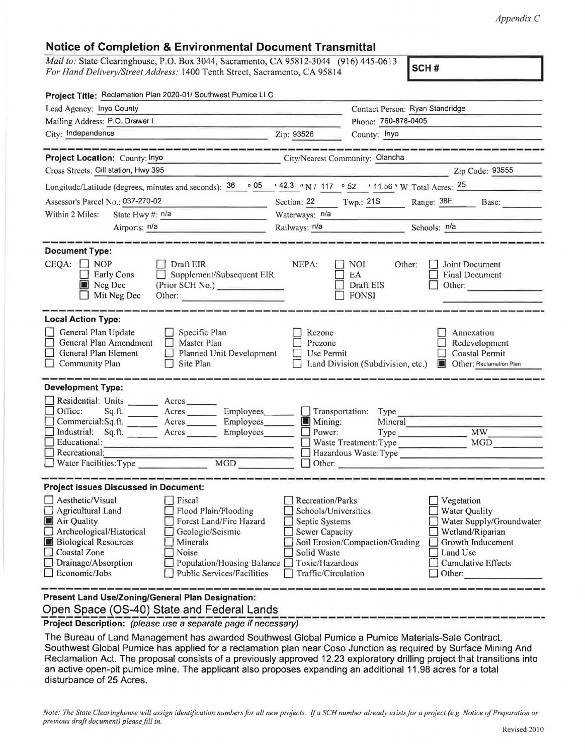## **Notice of Completion & Environmental Document Transmittal**

*Mail to: State Clearinghouse, P.O. Box 3044, Sacramento, CA 95812-3044 (916) 445-0613 For Hand Delivery/Street Address:* 1400 Tenth Street, Sacramento, CA 95814

| Project Title: Reclamation Plan 2020-01/ Southwest Pumice LLC                                                                                                                          |                                                                                                                                                                              |                                                                                                                                       |                                                         |                                                                                                                                                            |
|----------------------------------------------------------------------------------------------------------------------------------------------------------------------------------------|------------------------------------------------------------------------------------------------------------------------------------------------------------------------------|---------------------------------------------------------------------------------------------------------------------------------------|---------------------------------------------------------|------------------------------------------------------------------------------------------------------------------------------------------------------------|
| Lead Agency: Inyo County                                                                                                                                                               |                                                                                                                                                                              |                                                                                                                                       | Contact Person: Ryan Standridge                         |                                                                                                                                                            |
| Mailing Address: P.O. Drawer L                                                                                                                                                         |                                                                                                                                                                              | Phone: 760-878-0405                                                                                                                   |                                                         |                                                                                                                                                            |
| City: Independence                                                                                                                                                                     |                                                                                                                                                                              | Zip: 93526                                                                                                                            | County: Inyo                                            |                                                                                                                                                            |
|                                                                                                                                                                                        |                                                                                                                                                                              |                                                                                                                                       |                                                         |                                                                                                                                                            |
| Project Location: County: Inyo                                                                                                                                                         | City/Nearest Community: Olancha                                                                                                                                              |                                                                                                                                       |                                                         |                                                                                                                                                            |
| Cross Streets: Gill station, Hwy 395                                                                                                                                                   |                                                                                                                                                                              |                                                                                                                                       |                                                         | Zip Code: 93555                                                                                                                                            |
| Longitude/Latitude (degrees, minutes and seconds): $36 \cdot 05$ / 42.3 "N / 117 $\cdot 52$ / 11.56 "W Total Acres: $25$                                                               |                                                                                                                                                                              |                                                                                                                                       |                                                         |                                                                                                                                                            |
| Assessor's Parcel No.: 037-270-02<br><b>Contract Contract Contract</b>                                                                                                                 |                                                                                                                                                                              |                                                                                                                                       |                                                         | Section: 22 Twp.: 21S Range: 38E Base:                                                                                                                     |
| Within 2 Miles:<br>State Hwy $\#$ : $n/a$                                                                                                                                              |                                                                                                                                                                              | Waterways: n/a                                                                                                                        |                                                         |                                                                                                                                                            |
| Airports: n/a                                                                                                                                                                          |                                                                                                                                                                              | Railways: <u>n/a expression of</u>                                                                                                    |                                                         | Schools: $n/a$                                                                                                                                             |
| <b>Document Type:</b><br>$CEQA: \Box NOP$<br><b>Early Cons</b><br>Neg Dec<br>Mit Neg Dec                                                                                               | Draft EIR<br>Supplement/Subsequent EIR<br>(Prior SCH No.)<br>Other:                                                                                                          | NEPA:                                                                                                                                 | <b>NOI</b><br>Other:<br>EA<br>Draft EIS<br><b>FONSI</b> | Joint Document<br><b>Final Document</b><br>Other:                                                                                                          |
| <b>Local Action Type:</b><br>General Plan Update<br>General Plan Amendment<br>General Plan Element<br>Community Plan                                                                   | Specific Plan<br>$\Box$ Master Plan<br>Planned Unit Development<br>Site Plan<br>$\Box$                                                                                       | Rezone<br>Prezone<br>Use Permit                                                                                                       | Land Division (Subdivision, etc.)                       | Annexation<br>Redevelopment<br>Coastal Permit<br><b>I</b> Other: Reclamation Plan                                                                          |
| <b>Development Type:</b>                                                                                                                                                               |                                                                                                                                                                              |                                                                                                                                       |                                                         |                                                                                                                                                            |
| Residential: Units ________ Acres _______<br>Office:<br>Sq.ft.<br>Commercial:Sq.ft. _________ Acres ______<br>Industrial: Sq.ft. _______ Acres ______<br>Educational:<br>Recreational: | Acres Employees<br>Employees                                                                                                                                                 | $\Box$ Mining:<br>$\Box$ Power:                                                                                                       | Mineral<br>Waste Treatment: Type                        | Transportation: Type<br>Type MW<br>Hazardous Waste: Type<br>Other:                                                                                         |
| <b>Project Issues Discussed in Document:</b>                                                                                                                                           |                                                                                                                                                                              |                                                                                                                                       |                                                         |                                                                                                                                                            |
| Aesthetic/Visual<br>Agricultural Land<br>Air Quality<br>Archeological/Historical<br><b>Biological Resources</b><br>Coastal Zone<br>Drainage/Absorption<br>Economic/Jobs                | $\Box$ Fiscal<br>Flood Plain/Flooding<br>Forest Land/Fire Hazard<br>Geologic/Seismic<br>Minerals<br>Noise<br>Population/Housing Balance<br><b>Public Services/Facilities</b> | Recreation/Parks<br>Schools/Universities<br>Septic Systems<br>Sewer Capacity<br>Solid Waste<br>Toxic/Hazardous<br>Traffic/Circulation | Soil Erosion/Compaction/Grading                         | Vegetation<br>$\Box$ Water Quality<br>Water Supply/Groundwater<br>Wetland/Riparian<br>Growth Inducement<br>Land Use<br><b>Cumulative Effects</b><br>Other: |
| Present Land Use/Zoning/General Plan Designation:                                                                                                                                      |                                                                                                                                                                              |                                                                                                                                       |                                                         |                                                                                                                                                            |

Open Space (OS-40) State and Federal Lands

**Project Description:** (please use a separate page if necessary)

The Bureau of Land Management has awarded Southwest Global Pumice a Pumice Materials-Sale Contract. Southwest Global Pumice has applied for a reclamation plan near Caso Junction as required by Surface Mining And Reclamation Act. The proposal consists of a previously approved 12.23 exploratory drilling project that transitions into an active open-pit pumice mine. The applicant also proposes expanding an additional 11.98 acres for a total disturbance of 25 Acres.

*Note: The Stale Clearinghouse will assign identification numbers for all new projects. If a SCH number already exists for a project (e.g. Notice of Preparation or previous draft document) please fill in.*